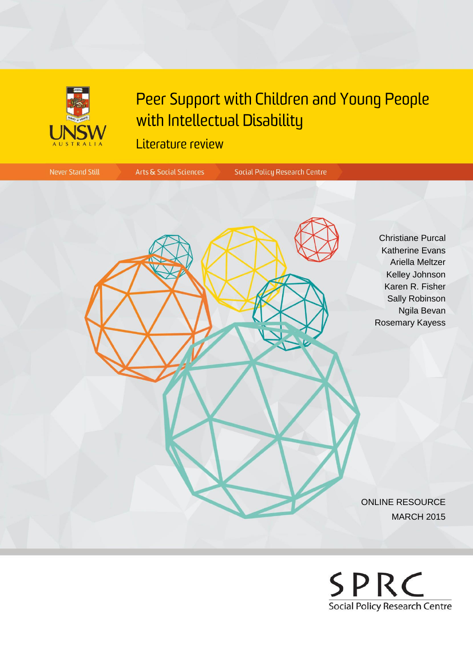

# Peer Support with Children and Young People with Intellectual Disability

# Literature review



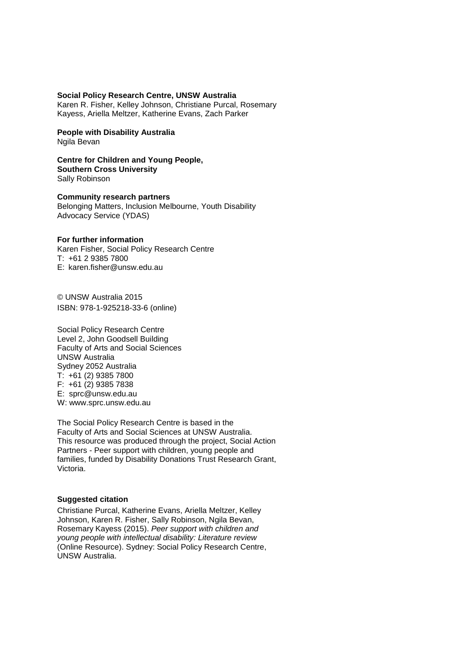#### **Social Policy Research Centre, UNSW Australia**

Karen R. Fisher, Kelley Johnson, Christiane Purcal, Rosemary Kayess, Ariella Meltzer, Katherine Evans, Zach Parker

**People with Disability Australia** Ngila Bevan

**Centre for Children and Young People, Southern Cross University** Sally Robinson

**Community research partners** Belonging Matters, Inclusion Melbourne, Youth Disability Advocacy Service (YDAS)

#### **For further information**

Karen Fisher, Social Policy Research Centre T: +61 2 9385 7800 E: karen.fisher@unsw.edu.au

© UNSW Australia 2015 ISBN: 978-1-925218-33-6 (online)

Social Policy Research Centre Level 2, John Goodsell Building Faculty of Arts and Social Sciences UNSW Australia Sydney 2052 Australia T: +61 (2) 9385 7800 F: +61 (2) 9385 7838 E: sprc@unsw.edu.au W: www.sprc.unsw.edu.au

The Social Policy Research Centre is based in the Faculty of Arts and Social Sciences at UNSW Australia. This resource was produced through the project, Social Action Partners - Peer support with children, young people and families, funded by Disability Donations Trust Research Grant, Victoria.

#### **Suggested citation**

Christiane Purcal, Katherine Evans, Ariella Meltzer, Kelley Johnson, Karen R. Fisher, Sally Robinson, Ngila Bevan, Rosemary Kayess (2015). *Peer support with children and young people with intellectual disability: Literature review* (Online Resource). Sydney: Social Policy Research Centre, UNSW Australia.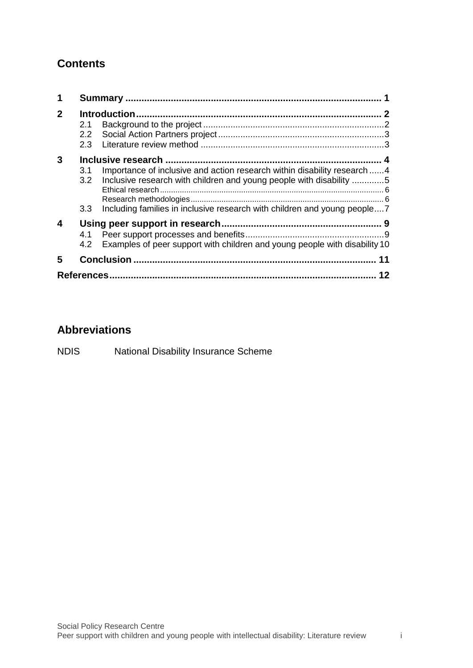# **Contents**

| $\mathbf{2}$ | Introduction.<br>2.1<br>$2.2\phantom{0}$                                                                                                                                                                                                                      |  |
|--------------|---------------------------------------------------------------------------------------------------------------------------------------------------------------------------------------------------------------------------------------------------------------|--|
| 3            | Importance of inclusive and action research within disability research 4<br>3.1<br>Inclusive research with children and young people with disability 5<br>3.2<br>Including families in inclusive research with children and young people7<br>3.3 <sub>2</sub> |  |
| 4            | 4.1<br>Examples of peer support with children and young people with disability 10<br>4.2                                                                                                                                                                      |  |
| 5            | <b>Conclusion</b><br>11                                                                                                                                                                                                                                       |  |
|              |                                                                                                                                                                                                                                                               |  |

# **Abbreviations**

NDIS National Disability Insurance Scheme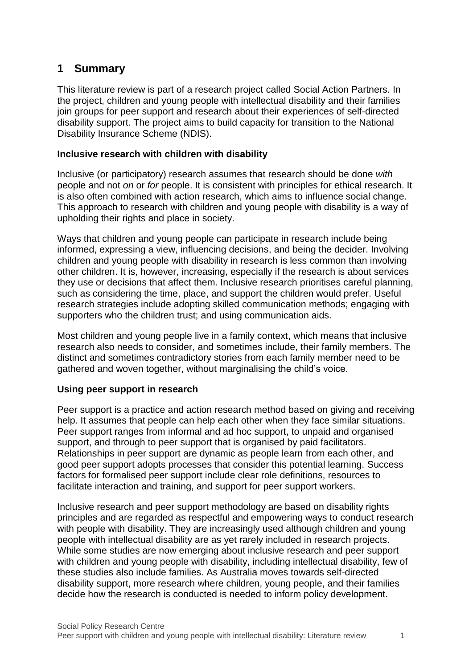# <span id="page-3-0"></span>**1 Summary**

This literature review is part of a research project called Social Action Partners. In the project, children and young people with intellectual disability and their families join groups for peer support and research about their experiences of self-directed disability support. The project aims to build capacity for transition to the National Disability Insurance Scheme (NDIS).

#### **Inclusive research with children with disability**

Inclusive (or participatory) research assumes that research should be done *with* people and not *on* or *for* people. It is consistent with principles for ethical research. It is also often combined with action research, which aims to influence social change. This approach to research with children and young people with disability is a way of upholding their rights and place in society.

Ways that children and young people can participate in research include being informed, expressing a view, influencing decisions, and being the decider. Involving children and young people with disability in research is less common than involving other children. It is, however, increasing, especially if the research is about services they use or decisions that affect them. Inclusive research prioritises careful planning, such as considering the time, place, and support the children would prefer. Useful research strategies include adopting skilled communication methods; engaging with supporters who the children trust; and using communication aids.

Most children and young people live in a family context, which means that inclusive research also needs to consider, and sometimes include, their family members. The distinct and sometimes contradictory stories from each family member need to be gathered and woven together, without marginalising the child's voice.

# **Using peer support in research**

Peer support is a practice and action research method based on giving and receiving help. It assumes that people can help each other when they face similar situations. Peer support ranges from informal and ad hoc support, to unpaid and organised support, and through to peer support that is organised by paid facilitators. Relationships in peer support are dynamic as people learn from each other, and good peer support adopts processes that consider this potential learning. Success factors for formalised peer support include clear role definitions, resources to facilitate interaction and training, and support for peer support workers.

Inclusive research and peer support methodology are based on disability rights principles and are regarded as respectful and empowering ways to conduct research with people with disability. They are increasingly used although children and young people with intellectual disability are as yet rarely included in research projects. While some studies are now emerging about inclusive research and peer support with children and young people with disability, including intellectual disability, few of these studies also include families. As Australia moves towards self-directed disability support, more research where children, young people, and their families decide how the research is conducted is needed to inform policy development.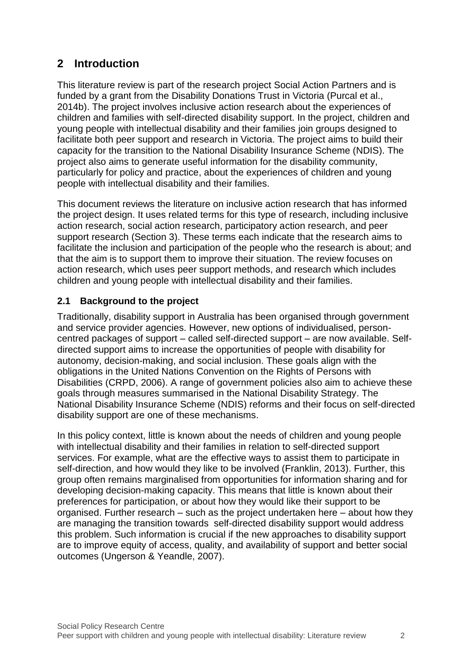# <span id="page-4-0"></span>**2 Introduction**

This literature review is part of the research project Social Action Partners and is funded by a grant from the Disability Donations Trust in Victoria (Purcal et al., 2014b). The project involves inclusive action research about the experiences of children and families with self-directed disability support. In the project, children and young people with intellectual disability and their families join groups designed to facilitate both peer support and research in Victoria. The project aims to build their capacity for the transition to the National Disability Insurance Scheme (NDIS). The project also aims to generate useful information for the disability community, particularly for policy and practice, about the experiences of children and young people with intellectual disability and their families.

This document reviews the literature on inclusive action research that has informed the project design. It uses related terms for this type of research, including inclusive action research, social action research, participatory action research, and peer support research (Section 3). These terms each indicate that the research aims to facilitate the inclusion and participation of the people who the research is about; and that the aim is to support them to improve their situation. The review focuses on action research, which uses peer support methods, and research which includes children and young people with intellectual disability and their families.

# <span id="page-4-1"></span>**2.1 Background to the project**

Traditionally, disability support in Australia has been organised through government and service provider agencies. However, new options of individualised, personcentred packages of support – called self-directed support – are now available. Selfdirected support aims to increase the opportunities of people with disability for autonomy, decision-making, and social inclusion. These goals align with the obligations in the United Nations Convention on the Rights of Persons with Disabilities (CRPD, 2006). A range of government policies also aim to achieve these goals through measures summarised in the National Disability Strategy. The National Disability Insurance Scheme (NDIS) reforms and their focus on self-directed disability support are one of these mechanisms.

In this policy context, little is known about the needs of children and young people with intellectual disability and their families in relation to self-directed support services. For example, what are the effective ways to assist them to participate in self-direction, and how would they like to be involved (Franklin, 2013). Further, this group often remains marginalised from opportunities for information sharing and for developing decision-making capacity. This means that little is known about their preferences for participation, or about how they would like their support to be organised. Further research – such as the project undertaken here – about how they are managing the transition towards self-directed disability support would address this problem. Such information is crucial if the new approaches to disability support are to improve equity of access, quality, and availability of support and better social outcomes (Ungerson & Yeandle, 2007).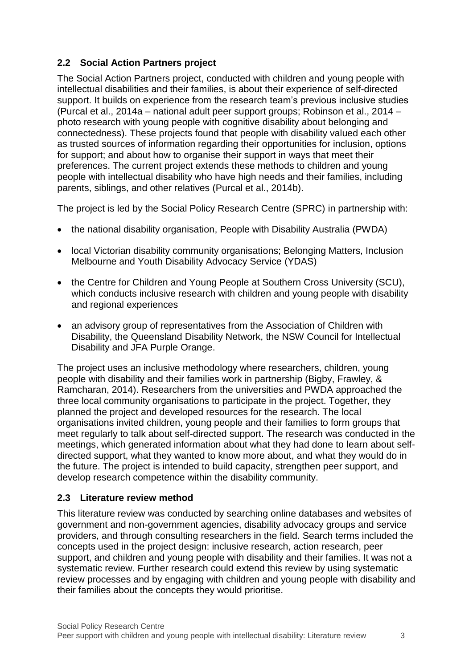# <span id="page-5-0"></span>**2.2 Social Action Partners project**

The Social Action Partners project, conducted with children and young people with intellectual disabilities and their families, is about their experience of self-directed support. It builds on experience from the research team's previous inclusive studies (Purcal et al., 2014a – national adult peer support groups; Robinson et al., 2014 – photo research with young people with cognitive disability about belonging and connectedness). These projects found that people with disability valued each other as trusted sources of information regarding their opportunities for inclusion, options for support; and about how to organise their support in ways that meet their preferences. The current project extends these methods to children and young people with intellectual disability who have high needs and their families, including parents, siblings, and other relatives (Purcal et al., 2014b).

The project is led by the Social Policy Research Centre (SPRC) in partnership with:

- the national disability organisation, People with Disability Australia (PWDA)
- local Victorian disability community organisations; Belonging Matters, Inclusion Melbourne and Youth Disability Advocacy Service (YDAS)
- the Centre for Children and Young People at Southern Cross University (SCU), which conducts inclusive research with children and young people with disability and regional experiences
- an advisory group of representatives from the Association of Children with Disability, the Queensland Disability Network, the NSW Council for Intellectual Disability and JFA Purple Orange.

The project uses an inclusive methodology where researchers, children, young people with disability and their families work in partnership (Bigby, Frawley, & Ramcharan, 2014). Researchers from the universities and PWDA approached the three local community organisations to participate in the project. Together, they planned the project and developed resources for the research. The local organisations invited children, young people and their families to form groups that meet regularly to talk about self-directed support. The research was conducted in the meetings, which generated information about what they had done to learn about selfdirected support, what they wanted to know more about, and what they would do in the future. The project is intended to build capacity, strengthen peer support, and develop research competence within the disability community.

# <span id="page-5-1"></span>**2.3 Literature review method**

This literature review was conducted by searching online databases and websites of government and non-government agencies, disability advocacy groups and service providers, and through consulting researchers in the field. Search terms included the concepts used in the project design: inclusive research, action research, peer support, and children and young people with disability and their families. It was not a systematic review. Further research could extend this review by using systematic review processes and by engaging with children and young people with disability and their families about the concepts they would prioritise.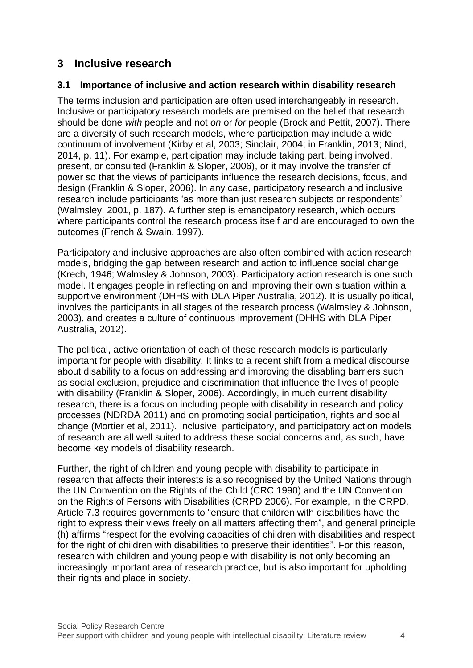# <span id="page-6-0"></span>**3 Inclusive research**

#### <span id="page-6-1"></span>**3.1 Importance of inclusive and action research within disability research**

The terms inclusion and participation are often used interchangeably in research. Inclusive or participatory research models are premised on the belief that research should be done *with* people and not *on* or *for* people (Brock and Pettit, 2007). There are a diversity of such research models, where participation may include a wide continuum of involvement (Kirby et al, 2003; Sinclair, 2004; in Franklin, 2013; Nind, 2014, p. 11). For example, participation may include taking part, being involved, present, or consulted (Franklin & Sloper, 2006), or it may involve the transfer of power so that the views of participants influence the research decisions, focus, and design (Franklin & Sloper, 2006). In any case, participatory research and inclusive research include participants 'as more than just research subjects or respondents' (Walmsley, 2001, p. 187). A further step is emancipatory research, which occurs where participants control the research process itself and are encouraged to own the outcomes (French & Swain, 1997).

Participatory and inclusive approaches are also often combined with action research models, bridging the gap between research and action to influence social change (Krech, 1946; Walmsley & Johnson, 2003). Participatory action research is one such model. It engages people in reflecting on and improving their own situation within a supportive environment (DHHS with DLA Piper Australia, 2012). It is usually political, involves the participants in all stages of the research process (Walmsley & Johnson, 2003), and creates a culture of continuous improvement (DHHS with DLA Piper Australia, 2012).

The political, active orientation of each of these research models is particularly important for people with disability. It links to a recent shift from a medical discourse about disability to a focus on addressing and improving the disabling barriers such as social exclusion, prejudice and discrimination that influence the lives of people with disability (Franklin & Sloper, 2006). Accordingly, in much current disability research, there is a focus on including people with disability in research and policy processes (NDRDA 2011) and on promoting social participation, rights and social change (Mortier et al, 2011). Inclusive, participatory, and participatory action models of research are all well suited to address these social concerns and, as such, have become key models of disability research.

Further, the right of children and young people with disability to participate in research that affects their interests is also recognised by the United Nations through the UN Convention on the Rights of the Child (CRC 1990) and the UN Convention on the Rights of Persons with Disabilities (CRPD 2006). For example, in the CRPD, Article 7.3 requires governments to "ensure that children with disabilities have the right to express their views freely on all matters affecting them", and general principle (h) affirms "respect for the evolving capacities of children with disabilities and respect for the right of children with disabilities to preserve their identities". For this reason, research with children and young people with disability is not only becoming an increasingly important area of research practice, but is also important for upholding their rights and place in society.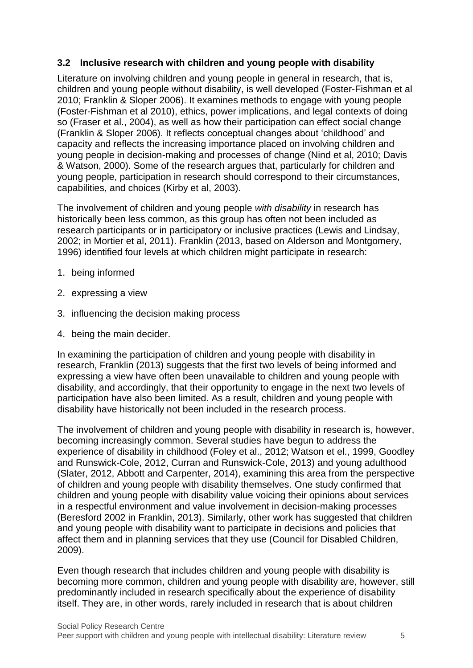#### <span id="page-7-0"></span>**3.2 Inclusive research with children and young people with disability**

Literature on involving children and young people in general in research, that is, children and young people without disability, is well developed (Foster-Fishman et al 2010; Franklin & Sloper 2006). It examines methods to engage with young people (Foster-Fishman et al 2010), ethics, power implications, and legal contexts of doing so (Fraser et al., 2004), as well as how their participation can effect social change (Franklin & Sloper 2006). It reflects conceptual changes about 'childhood' and capacity and reflects the increasing importance placed on involving children and young people in decision-making and processes of change (Nind et al, 2010; Davis & Watson, 2000). Some of the research argues that, particularly for children and young people, participation in research should correspond to their circumstances, capabilities, and choices (Kirby et al, 2003).

The involvement of children and young people *with disability* in research has historically been less common, as this group has often not been included as research participants or in participatory or inclusive practices (Lewis and Lindsay, 2002; in Mortier et al, 2011). Franklin (2013, based on Alderson and Montgomery, 1996) identified four levels at which children might participate in research:

- 1. being informed
- 2. expressing a view
- 3. influencing the decision making process
- 4. being the main decider.

In examining the participation of children and young people with disability in research, Franklin (2013) suggests that the first two levels of being informed and expressing a view have often been unavailable to children and young people with disability, and accordingly, that their opportunity to engage in the next two levels of participation have also been limited. As a result, children and young people with disability have historically not been included in the research process.

The involvement of children and young people with disability in research is, however, becoming increasingly common. Several studies have begun to address the experience of disability in childhood (Foley et al., 2012; Watson et el., 1999, Goodley and Runswick-Cole, 2012, Curran and Runswick-Cole, 2013) and young adulthood (Slater, 2012, Abbott and Carpenter, 2014), examining this area from the perspective of children and young people with disability themselves. One study confirmed that children and young people with disability value voicing their opinions about services in a respectful environment and value involvement in decision-making processes (Beresford 2002 in Franklin, 2013). Similarly, other work has suggested that children and young people with disability want to participate in decisions and policies that affect them and in planning services that they use (Council for Disabled Children, 2009).

Even though research that includes children and young people with disability is becoming more common, children and young people with disability are, however, still predominantly included in research specifically about the experience of disability itself. They are, in other words, rarely included in research that is about children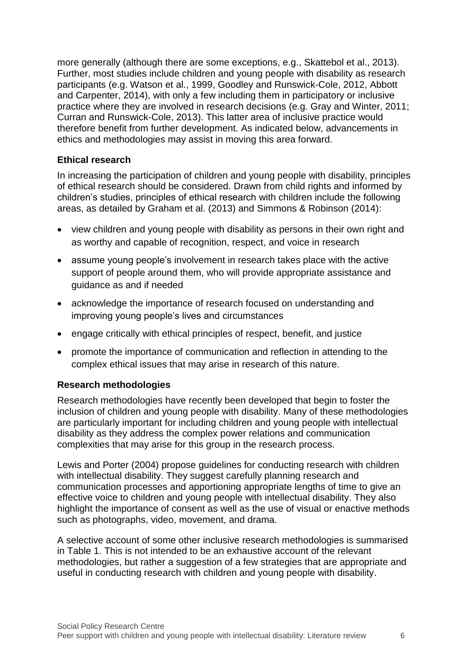more generally (although there are some exceptions, e.g., Skattebol et al., 2013). Further, most studies include children and young people with disability as research participants (e.g. Watson et al., 1999, Goodley and Runswick-Cole, 2012, Abbott and Carpenter, 2014), with only a few including them in participatory or inclusive practice where they are involved in research decisions (e.g. Gray and Winter, 2011; Curran and Runswick-Cole, 2013). This latter area of inclusive practice would therefore benefit from further development. As indicated below, advancements in ethics and methodologies may assist in moving this area forward.

#### <span id="page-8-0"></span>**Ethical research**

In increasing the participation of children and young people with disability, principles of ethical research should be considered. Drawn from child rights and informed by children's studies, principles of ethical research with children include the following areas, as detailed by Graham et al. (2013) and Simmons & Robinson (2014):

- view children and young people with disability as persons in their own right and as worthy and capable of recognition, respect, and voice in research
- assume young people's involvement in research takes place with the active support of people around them, who will provide appropriate assistance and guidance as and if needed
- acknowledge the importance of research focused on understanding and improving young people's lives and circumstances
- engage critically with ethical principles of respect, benefit, and justice
- promote the importance of communication and reflection in attending to the complex ethical issues that may arise in research of this nature.

# <span id="page-8-1"></span>**Research methodologies**

Research methodologies have recently been developed that begin to foster the inclusion of children and young people with disability. Many of these methodologies are particularly important for including children and young people with intellectual disability as they address the complex power relations and communication complexities that may arise for this group in the research process.

Lewis and Porter (2004) propose guidelines for conducting research with children with intellectual disability. They suggest carefully planning research and communication processes and apportioning appropriate lengths of time to give an effective voice to children and young people with intellectual disability. They also highlight the importance of consent as well as the use of visual or enactive methods such as photographs, video, movement, and drama.

A selective account of some other inclusive research methodologies is summarised in [Table 1.](#page-9-1) This is not intended to be an exhaustive account of the relevant methodologies, but rather a suggestion of a few strategies that are appropriate and useful in conducting research with children and young people with disability.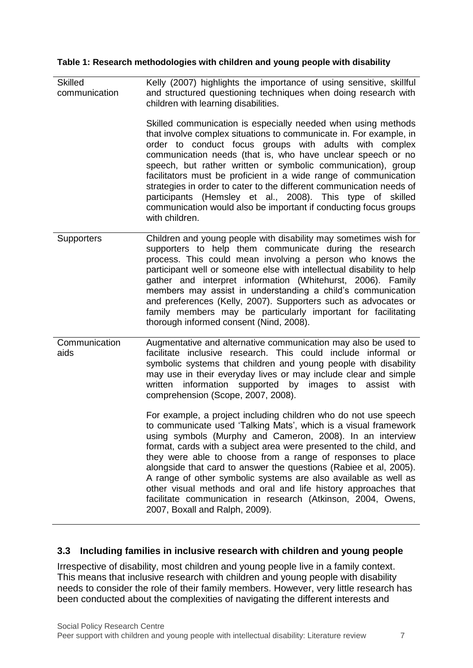#### <span id="page-9-1"></span>**Table 1: Research methodologies with children and young people with disability**

| <b>Skilled</b><br>communication | Kelly (2007) highlights the importance of using sensitive, skillful<br>and structured questioning techniques when doing research with<br>children with learning disabilities.<br>Skilled communication is especially needed when using methods<br>that involve complex situations to communicate in. For example, in<br>order to conduct focus groups with adults with complex<br>communication needs (that is, who have unclear speech or no<br>speech, but rather written or symbolic communication), group<br>facilitators must be proficient in a wide range of communication<br>strategies in order to cater to the different communication needs of<br>participants (Hemsley et al., 2008). This type of skilled<br>communication would also be important if conducting focus groups<br>with children.                                                                                                                                                                                                                          |
|---------------------------------|---------------------------------------------------------------------------------------------------------------------------------------------------------------------------------------------------------------------------------------------------------------------------------------------------------------------------------------------------------------------------------------------------------------------------------------------------------------------------------------------------------------------------------------------------------------------------------------------------------------------------------------------------------------------------------------------------------------------------------------------------------------------------------------------------------------------------------------------------------------------------------------------------------------------------------------------------------------------------------------------------------------------------------------|
| Supporters                      | Children and young people with disability may sometimes wish for<br>supporters to help them communicate during the research<br>process. This could mean involving a person who knows the<br>participant well or someone else with intellectual disability to help<br>gather and interpret information (Whitehurst, 2006). Family<br>members may assist in understanding a child's communication<br>and preferences (Kelly, 2007). Supporters such as advocates or<br>family members may be particularly important for facilitating<br>thorough informed consent (Nind, 2008).                                                                                                                                                                                                                                                                                                                                                                                                                                                         |
| Communication<br>aids           | Augmentative and alternative communication may also be used to<br>facilitate inclusive research. This could include informal or<br>symbolic systems that children and young people with disability<br>may use in their everyday lives or may include clear and simple<br>information supported by images<br>written<br>to<br>assist<br>with<br>comprehension (Scope, 2007, 2008).<br>For example, a project including children who do not use speech<br>to communicate used 'Talking Mats', which is a visual framework<br>using symbols (Murphy and Cameron, 2008). In an interview<br>format, cards with a subject area were presented to the child, and<br>they were able to choose from a range of responses to place<br>alongside that card to answer the questions (Rabiee et al, 2005).<br>A range of other symbolic systems are also available as well as<br>other visual methods and oral and life history approaches that<br>facilitate communication in research (Atkinson, 2004, Owens,<br>2007, Boxall and Ralph, 2009). |

# <span id="page-9-0"></span>**3.3 Including families in inclusive research with children and young people**

Irrespective of disability, most children and young people live in a family context. This means that inclusive research with children and young people with disability needs to consider the role of their family members. However, very little research has been conducted about the complexities of navigating the different interests and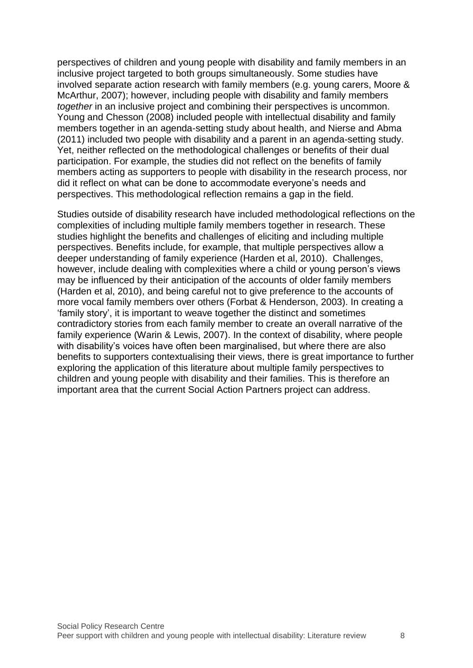perspectives of children and young people with disability and family members in an inclusive project targeted to both groups simultaneously. Some studies have involved separate action research with family members (e.g. young carers, Moore & McArthur, 2007); however, including people with disability and family members *together* in an inclusive project and combining their perspectives is uncommon. Young and Chesson (2008) included people with intellectual disability and family members together in an agenda-setting study about health, and Nierse and Abma (2011) included two people with disability and a parent in an agenda-setting study. Yet, neither reflected on the methodological challenges or benefits of their dual participation. For example, the studies did not reflect on the benefits of family members acting as supporters to people with disability in the research process, nor did it reflect on what can be done to accommodate everyone's needs and perspectives. This methodological reflection remains a gap in the field.

Studies outside of disability research have included methodological reflections on the complexities of including multiple family members together in research. These studies highlight the benefits and challenges of eliciting and including multiple perspectives. Benefits include, for example, that multiple perspectives allow a deeper understanding of family experience (Harden et al, 2010). Challenges, however, include dealing with complexities where a child or young person's views may be influenced by their anticipation of the accounts of older family members (Harden et al, 2010), and being careful not to give preference to the accounts of more vocal family members over others (Forbat & Henderson, 2003). In creating a 'family story', it is important to weave together the distinct and sometimes contradictory stories from each family member to create an overall narrative of the family experience (Warin & Lewis, 2007). In the context of disability, where people with disability's voices have often been marginalised, but where there are also benefits to supporters contextualising their views, there is great importance to further exploring the application of this literature about multiple family perspectives to children and young people with disability and their families. This is therefore an important area that the current Social Action Partners project can address.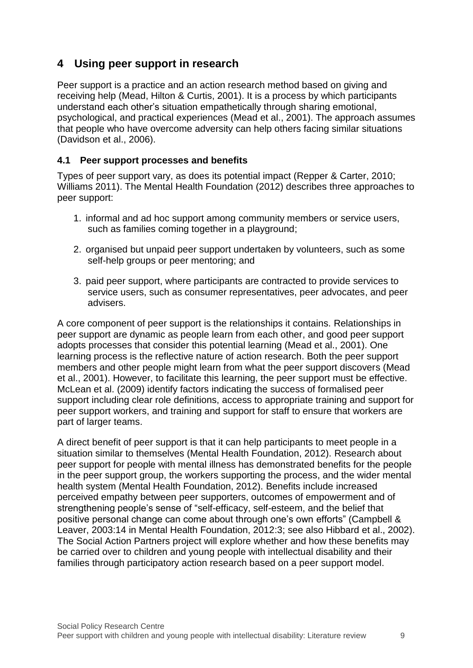# <span id="page-11-0"></span>**4 Using peer support in research**

Peer support is a practice and an action research method based on giving and receiving help (Mead, Hilton & Curtis, 2001). It is a process by which participants understand each other's situation empathetically through sharing emotional, psychological, and practical experiences (Mead et al., 2001). The approach assumes that people who have overcome adversity can help others facing similar situations (Davidson et al., 2006).

# <span id="page-11-1"></span>**4.1 Peer support processes and benefits**

Types of peer support vary, as does its potential impact (Repper & Carter, 2010; Williams 2011). The Mental Health Foundation (2012) describes three approaches to peer support:

- 1. informal and ad hoc support among community members or service users, such as families coming together in a playground;
- 2. organised but unpaid peer support undertaken by volunteers, such as some self-help groups or peer mentoring; and
- 3. paid peer support, where participants are contracted to provide services to service users, such as consumer representatives, peer advocates, and peer advisers.

A core component of peer support is the relationships it contains. Relationships in peer support are dynamic as people learn from each other, and good peer support adopts processes that consider this potential learning (Mead et al., 2001). One learning process is the reflective nature of action research. Both the peer support members and other people might learn from what the peer support discovers (Mead et al., 2001). However, to facilitate this learning, the peer support must be effective. McLean et al. (2009) identify factors indicating the success of formalised peer support including clear role definitions, access to appropriate training and support for peer support workers, and training and support for staff to ensure that workers are part of larger teams.

A direct benefit of peer support is that it can help participants to meet people in a situation similar to themselves (Mental Health Foundation, 2012). Research about peer support for people with mental illness has demonstrated benefits for the people in the peer support group, the workers supporting the process, and the wider mental health system (Mental Health Foundation, 2012). Benefits include increased perceived empathy between peer supporters, outcomes of empowerment and of strengthening people's sense of "self-efficacy, self-esteem, and the belief that positive personal change can come about through one's own efforts" (Campbell & Leaver, 2003:14 in Mental Health Foundation, 2012:3; see also Hibbard et al., 2002). The Social Action Partners project will explore whether and how these benefits may be carried over to children and young people with intellectual disability and their families through participatory action research based on a peer support model.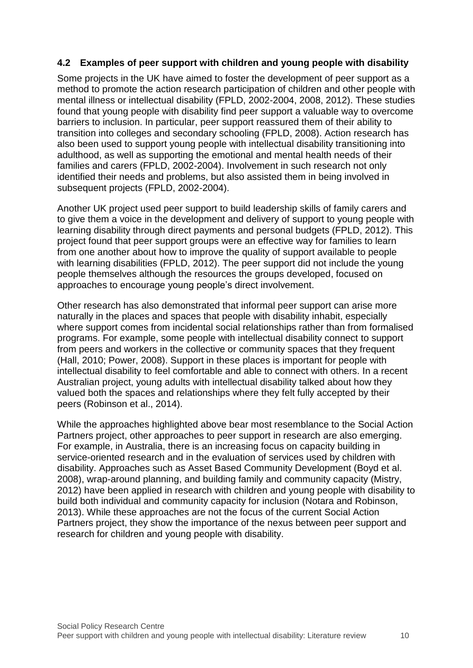#### <span id="page-12-0"></span>**4.2 Examples of peer support with children and young people with disability**

Some projects in the UK have aimed to foster the development of peer support as a method to promote the action research participation of children and other people with mental illness or intellectual disability (FPLD, 2002-2004, 2008, 2012). These studies found that young people with disability find peer support a valuable way to overcome barriers to inclusion. In particular, peer support reassured them of their ability to transition into colleges and secondary schooling (FPLD, 2008). Action research has also been used to support young people with intellectual disability transitioning into adulthood, as well as supporting the emotional and mental health needs of their families and carers (FPLD, 2002-2004). Involvement in such research not only identified their needs and problems, but also assisted them in being involved in subsequent projects (FPLD, 2002-2004).

Another UK project used peer support to build leadership skills of family carers and to give them a voice in the development and delivery of support to young people with learning disability through direct payments and personal budgets (FPLD, 2012). This project found that peer support groups were an effective way for families to learn from one another about how to improve the quality of support available to people with learning disabilities (FPLD, 2012). The peer support did not include the young people themselves although the resources the groups developed, focused on approaches to encourage young people's direct involvement.

Other research has also demonstrated that informal peer support can arise more naturally in the places and spaces that people with disability inhabit, especially where support comes from incidental social relationships rather than from formalised programs. For example, some people with intellectual disability connect to support from peers and workers in the collective or community spaces that they frequent (Hall, 2010; Power, 2008). Support in these places is important for people with intellectual disability to feel comfortable and able to connect with others. In a recent Australian project, young adults with intellectual disability talked about how they valued both the spaces and relationships where they felt fully accepted by their peers (Robinson et al., 2014).

While the approaches highlighted above bear most resemblance to the Social Action Partners project, other approaches to peer support in research are also emerging. For example, in Australia, there is an increasing focus on capacity building in service-oriented research and in the evaluation of services used by children with disability. Approaches such as Asset Based Community Development (Boyd et al. 2008), wrap-around planning, and building family and community capacity (Mistry, 2012) have been applied in research with children and young people with disability to build both individual and community capacity for inclusion (Notara and Robinson, 2013). While these approaches are not the focus of the current Social Action Partners project, they show the importance of the nexus between peer support and research for children and young people with disability.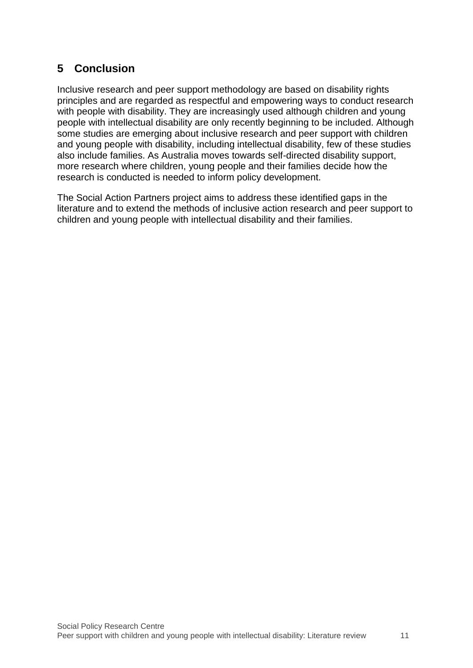# <span id="page-13-0"></span>**5 Conclusion**

Inclusive research and peer support methodology are based on disability rights principles and are regarded as respectful and empowering ways to conduct research with people with disability. They are increasingly used although children and young people with intellectual disability are only recently beginning to be included. Although some studies are emerging about inclusive research and peer support with children and young people with disability, including intellectual disability, few of these studies also include families. As Australia moves towards self-directed disability support, more research where children, young people and their families decide how the research is conducted is needed to inform policy development.

The Social Action Partners project aims to address these identified gaps in the literature and to extend the methods of inclusive action research and peer support to children and young people with intellectual disability and their families.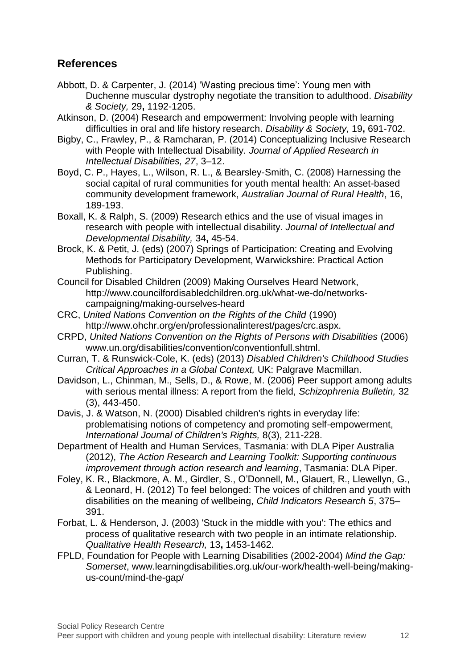# <span id="page-14-0"></span>**References**

- Abbott, D. & Carpenter, J. (2014) 'Wasting precious time': Young men with Duchenne muscular dystrophy negotiate the transition to adulthood. *Disability & Society,* 29**,** 1192-1205.
- Atkinson, D. (2004) Research and empowerment: Involving people with learning difficulties in oral and life history research. *Disability & Society,* 19**,** 691-702.
- Bigby, C., Frawley, P., & Ramcharan, P. (2014) Conceptualizing Inclusive Research with People with Intellectual Disability. *Journal of Applied Research in Intellectual Disabilities, 27*, 3–12.
- Boyd, C. P., Hayes, L., Wilson, R. L., & Bearsley-Smith, C. (2008) Harnessing the social capital of rural communities for youth mental health: An asset-based community development framework, *Australian Journal of Rural Health*, 16, 189-193.
- Boxall, K. & Ralph, S. (2009) Research ethics and the use of visual images in research with people with intellectual disability. *Journal of Intellectual and Developmental Disability,* 34**,** 45-54.
- Brock, K. & Petit, J. (eds) (2007) Springs of Participation: Creating and Evolving Methods for Participatory Development, Warwickshire: Practical Action Publishing.
- Council for Disabled Children (2009) Making Ourselves Heard Network, http://www.councilfordisabledchildren.org.uk/what-we-do/networkscampaigning/making-ourselves-heard
- CRC, *United Nations Convention on the Rights of the Child* (1990) http://www.ohchr.org/en/professionalinterest/pages/crc.aspx.
- CRPD, *United Nations Convention on the Rights of Persons with Disabilities* (2006) www.un.org/disabilities/convention/conventionfull.shtml.
- Curran, T. & Runswick-Cole, K. (eds) (2013) *Disabled Children's Childhood Studies Critical Approaches in a Global Context,* UK: Palgrave Macmillan.
- Davidson, L., Chinman, M., Sells, D., & Rowe, M. (2006) Peer support among adults with serious mental illness: A report from the field, *Schizophrenia Bulletin,* 32 (3), 443-450.

Davis, J. & Watson, N. (2000) Disabled children's rights in everyday life: problematising notions of competency and promoting self-empowerment, *International Journal of Children's Rights,* 8(3), 211-228.

Department of Health and Human Services, Tasmania: with DLA Piper Australia (2012), *The Action Research and Learning Toolkit: Supporting continuous improvement through action research and learning*, Tasmania: DLA Piper.

- Foley, K. R., Blackmore, A. M., Girdler, S., O'Donnell, M., Glauert, R., Llewellyn, G., & Leonard, H. (2012) To feel belonged: The voices of children and youth with disabilities on the meaning of wellbeing, *Child Indicators Research 5*, 375– 391.
- Forbat, L. & Henderson, J. (2003) 'Stuck in the middle with you': The ethics and process of qualitative research with two people in an intimate relationship. *Qualitative Health Research,* 13**,** 1453-1462.
- FPLD, Foundation for People with Learning Disabilities (2002-2004) *Mind the Gap: Somerset*, www.learningdisabilities.org.uk/our-work/health-well-being/makingus-count/mind-the-gap/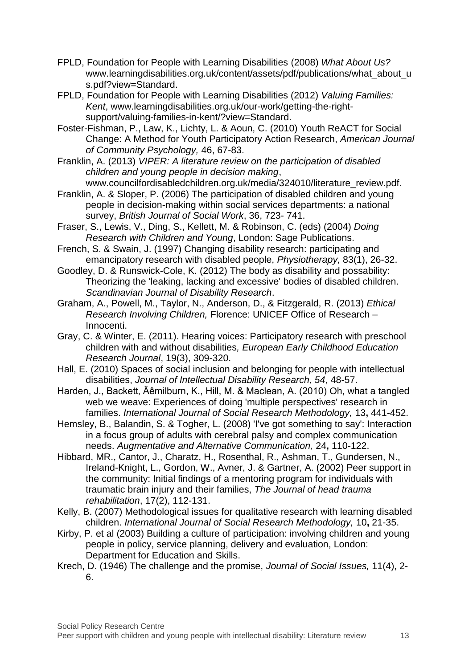- FPLD, Foundation for People with Learning Disabilities (2008) *What About Us?* www.learningdisabilities.org.uk/content/assets/pdf/publications/what\_about\_u s.pdf?view=Standard.
- FPLD, Foundation for People with Learning Disabilities (2012) *Valuing Families: Kent*, www.learningdisabilities.org.uk/our-work/getting-the-rightsupport/valuing-families-in-kent/?view=Standard.
- Foster-Fishman, P., Law, K., Lichty, L. & Aoun, C. (2010) Youth ReACT for Social Change: A Method for Youth Participatory Action Research, *American Journal of Community Psychology,* 46, 67-83.
- Franklin, A. (2013) *VIPER: A literature review on the participation of disabled children and young people in decision making*, www.councilfordisabledchildren.org.uk/media/324010/literature\_review.pdf.
- Franklin, A. & Sloper, P. (2006) The participation of disabled children and young people in decision-making within social services departments: a national survey, *British Journal of Social Work*, 36, 723- 741.
- Fraser, S., Lewis, V., Ding, S., Kellett, M. & Robinson, C. (eds) (2004) *Doing Research with Children and Young*, London: Sage Publications.
- French, S. & Swain, J. (1997) Changing disability research: participating and emancipatory research with disabled people, *Physiotherapy,* 83(1), 26-32.
- Goodley, D. & Runswick-Cole, K. (2012) The body as disability and possability: Theorizing the 'leaking, lacking and excessive' bodies of disabled children. *Scandinavian Journal of Disability Research*.
- Graham, A., Powell, M., Taylor, N., Anderson, D., & Fitzgerald, R. (2013) *Ethical Research Involving Children,* Florence: UNICEF Office of Research – Innocenti.
- Gray, C. & Winter, E. (2011). Hearing voices: Participatory research with preschool children with and without disabilities*, European Early Childhood Education Research Journal*, 19(3), 309-320.
- Hall, E. (2010) Spaces of social inclusion and belonging for people with intellectual disabilities, *Journal of Intellectual Disability Research, 54*, 48-57.
- Harden, J., Backett, Äêmilburn, K., Hill, M. & Maclean, A. (2010) Oh, what a tangled web we weave: Experiences of doing 'multiple perspectives' research in families. *International Journal of Social Research Methodology,* 13**,** 441-452.
- Hemsley, B., Balandin, S. & Togher, L. (2008) 'I've got something to say': Interaction in a focus group of adults with cerebral palsy and complex communication needs. *Augmentative and Alternative Communication,* 24**,** 110-122.
- Hibbard, MR., Cantor, J., Charatz, H., Rosenthal, R., Ashman, T., Gundersen, N., Ireland-Knight, L., Gordon, W., Avner, J. & Gartner, A. (2002) Peer support in the community: Initial findings of a mentoring program for individuals with traumatic brain injury and their families, *The Journal of head trauma rehabilitation*, 17(2), 112-131.
- Kelly, B. (2007) Methodological issues for qualitative research with learning disabled children. *International Journal of Social Research Methodology,* 10**,** 21-35.
- Kirby, P. et al (2003) Building a culture of participation: involving children and young people in policy, service planning, delivery and evaluation, London: Department for Education and Skills.
- Krech, D. (1946) The challenge and the promise, *Journal of Social Issues,* 11(4), 2- 6.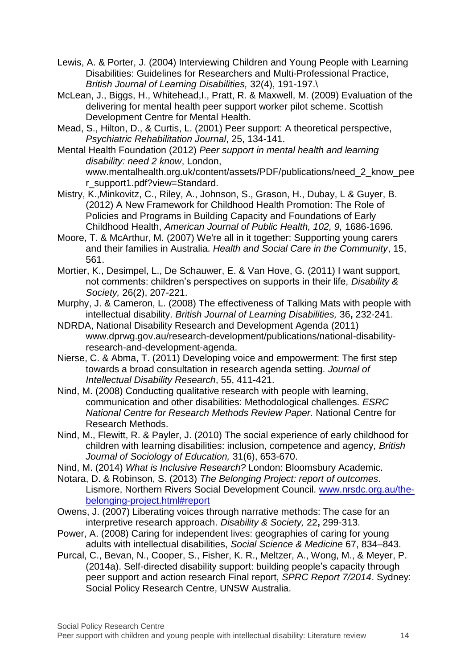- Lewis, A. & Porter, J. (2004) Interviewing Children and Young People with Learning Disabilities: Guidelines for Researchers and Multi-Professional Practice, *British Journal of Learning Disabilities,* 32(4), 191-197.\
- McLean, J., Biggs, H., Whitehead,I., Pratt, R. & Maxwell, M. (2009) Evaluation of the delivering for mental health peer support worker pilot scheme. Scottish Development Centre for Mental Health.
- Mead, S., Hilton, D., & Curtis, L. (2001) Peer support: A theoretical perspective, *Psychiatric Rehabilitation Journal*, 25, 134-141.
- Mental Health Foundation (2012) *Peer support in mental health and learning disability: need 2 know*, London, www.mentalhealth.org.uk/content/assets/PDF/publications/need\_2\_know\_pee r\_support1.pdf?view=Standard.
- Mistry, K.,Minkovitz, C., Riley, A., Johnson, S., Grason, H., Dubay, L & Guyer, B. (2012) A New Framework for Childhood Health Promotion: The Role of Policies and Programs in Building Capacity and Foundations of Early Childhood Health, *American Journal of Public Health, 102, 9,* 1686-1696*.*
- Moore, T. & McArthur, M. (2007) We're all in it together: Supporting young carers and their families in Australia. *Health and Social Care in the Community*, 15, 561.
- Mortier, K., Desimpel, L., De Schauwer, E. & Van Hove, G. (2011) I want support, not comments: children's perspectives on supports in their life, *Disability & Society,* 26(2), 207-221.
- Murphy, J. & Cameron, L. (2008) The effectiveness of Talking Mats with people with intellectual disability. *British Journal of Learning Disabilities,* 36**,** 232-241.
- NDRDA, National Disability Research and Development Agenda (2011) www.dprwg.gov.au/research-development/publications/national-disabilityresearch-and-development-agenda.
- Nierse, C. & Abma, T. (2011) Developing voice and empowerment: The first step towards a broad consultation in research agenda setting. *Journal of Intellectual Disability Research*, 55, 411-421.
- Nind, M. (2008) Conducting qualitative research with people with learning, communication and other disabilities: Methodological challenges. *ESRC National Centre for Research Methods Review Paper.* National Centre for Research Methods.
- Nind, M., Flewitt, R. & Payler, J. (2010) The social experience of early childhood for children with learning disabilities: inclusion, competence and agency, *British Journal of Sociology of Education,* 31(6), 653-670.
- Nind, M. (2014) *What is Inclusive Research?* London: Bloomsbury Academic.
- Notara, D. & Robinson, S. (2013) *The Belonging Project: report of outcomes*. Lismore, Northern Rivers Social Development Council. [www.nrsdc.org.au/the](http://www.nrsdc.org.au/the-belonging-project.html#report)[belonging-project.html#report](http://www.nrsdc.org.au/the-belonging-project.html#report)
- Owens, J. (2007) Liberating voices through narrative methods: The case for an interpretive research approach. *Disability & Society,* 22**,** 299-313.
- Power, A. (2008) Caring for independent lives: geographies of caring for young adults with intellectual disabilities, *Social Science & Medicine* 67, 834–843.
- Purcal, C., Bevan, N., Cooper, S., Fisher, K. R., Meltzer, A., Wong, M., & Meyer, P. (2014a). Self-directed disability support: building people's capacity through peer support and action research Final report, *SPRC Report 7/2014*. Sydney: Social Policy Research Centre, UNSW Australia.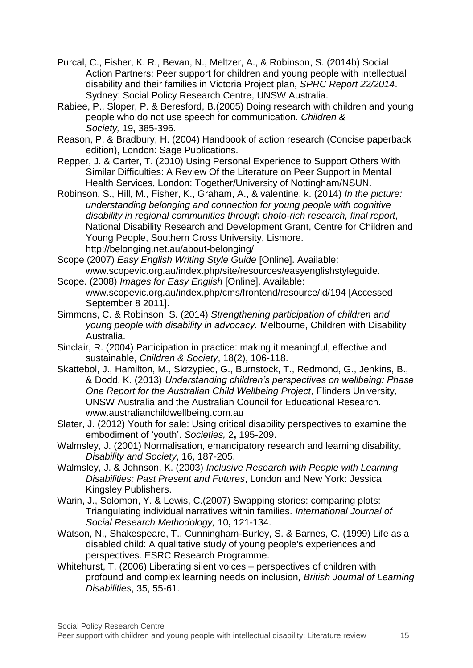- Purcal, C., Fisher, K. R., Bevan, N., Meltzer, A., & Robinson, S. (2014b) Social Action Partners: Peer support for children and young people with intellectual disability and their families in Victoria Project plan, *SPRC Report 22/2014*. Sydney: Social Policy Research Centre, UNSW Australia.
- Rabiee, P., Sloper, P. & Beresford, B.(2005) Doing research with children and young people who do not use speech for communication. *Children & Society,* 19**,** 385-396.
- Reason, P. & Bradbury, H. (2004) Handbook of action research (Concise paperback edition), London: Sage Publications.
- Repper, J. & Carter, T. (2010) Using Personal Experience to Support Others With Similar Difficulties: A Review Of the Literature on Peer Support in Mental Health Services, London: Together/University of Nottingham/NSUN.
- Robinson, S., Hill, M., Fisher, K., Graham, A., & valentine, k. (2014) *In the picture: understanding belonging and connection for young people with cognitive disability in regional communities through photo-rich research, final report*, National Disability Research and Development Grant, Centre for Children and Young People, Southern Cross University, Lismore. http://belonging.net.au/about-belonging/
- Scope (2007) *Easy English Writing Style Guide* [Online]. Available: www.scopevic.org.au/index.php/site/resources/easyenglishstyleguide.
- Scope. (2008) *Images for Easy English* [Online]. Available: www.scopevic.org.au/index.php/cms/frontend/resource/id/194 [Accessed September 8 2011].
- Simmons, C. & Robinson, S. (2014) *Strengthening participation of children and young people with disability in advocacy.* Melbourne, Children with Disability Australia.
- Sinclair, R. (2004) Participation in practice: making it meaningful, effective and sustainable, *Children & Society*, 18(2), 106-118.
- Skattebol, J., Hamilton, M., Skrzypiec, G., Burnstock, T., Redmond, G., Jenkins, B., & Dodd, K. (2013) *Understanding children's perspectives on wellbeing: Phase One Report for the Australian Child Wellbeing Project*, Flinders University, UNSW Australia and the Australian Council for Educational Research. www.australianchildwellbeing.com.au
- Slater, J. (2012) Youth for sale: Using critical disability perspectives to examine the embodiment of 'youth'. *Societies,* 2**,** 195-209.
- Walmsley, J. (2001) Normalisation, emancipatory research and learning disability, *Disability and Society*, 16, 187-205.
- Walmsley, J. & Johnson, K. (2003) *Inclusive Research with People with Learning Disabilities: Past Present and Futures*, London and New York: Jessica Kingsley Publishers.
- Warin, J., Solomon, Y. & Lewis, C.(2007) Swapping stories: comparing plots: Triangulating individual narratives within families. *International Journal of Social Research Methodology,* 10**,** 121-134.
- Watson, N., Shakespeare, T., Cunningham-Burley, S. & Barnes, C. (1999) Life as a disabled child: A qualitative study of young people's experiences and perspectives. ESRC Research Programme.
- Whitehurst, T. (2006) Liberating silent voices perspectives of children with profound and complex learning needs on inclusion*, British Journal of Learning Disabilities*, 35, 55-61.